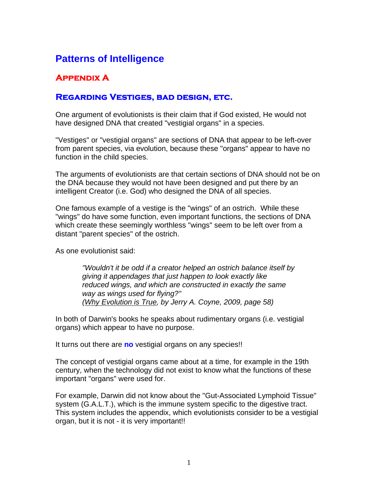## **Patterns of Intelligence**

## **Appendix A**

## **Regarding Vestiges, bad design, etc.**

One argument of evolutionists is their claim that if God existed, He would not have designed DNA that created "vestigial organs" in a species.

"Vestiges" or "vestigial organs" are sections of DNA that appear to be left-over from parent species, via evolution, because these "organs" appear to have no function in the child species.

The arguments of evolutionists are that certain sections of DNA should not be on the DNA because they would not have been designed and put there by an intelligent Creator (i.e. God) who designed the DNA of all species.

One famous example of a vestige is the "wings" of an ostrich. While these "wings" do have some function, even important functions, the sections of DNA which create these seemingly worthless "wings" seem to be left over from a distant "parent species" of the ostrich.

As one evolutionist said:

*"Wouldn't it be odd if a creator helped an ostrich balance itself by giving it appendages that just happen to look exactly like reduced wings, and which are constructed in exactly the same way as wings used for flying?" (Why Evolution is True, by Jerry A. Coyne, 2009, page 58)* 

In both of Darwin's books he speaks about rudimentary organs (i.e. vestigial organs) which appear to have no purpose.

It turns out there are **no** vestigial organs on any species!!

The concept of vestigial organs came about at a time, for example in the 19th century, when the technology did not exist to know what the functions of these important "organs" were used for.

For example, Darwin did not know about the "Gut-Associated Lymphoid Tissue" system (G.A.L.T.), which is the immune system specific to the digestive tract. This system includes the appendix, which evolutionists consider to be a vestigial organ, but it is not - it is very important!!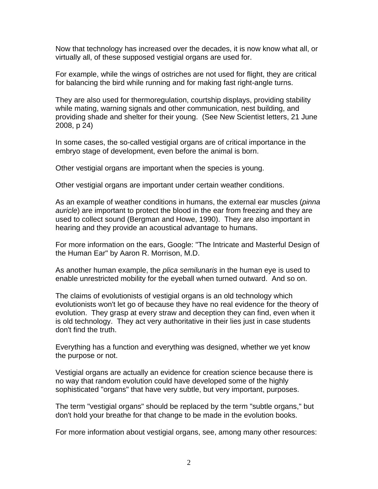Now that technology has increased over the decades, it is now know what all, or virtually all, of these supposed vestigial organs are used for.

For example, while the wings of ostriches are not used for flight, they are critical for balancing the bird while running and for making fast right-angle turns.

They are also used for thermoregulation, courtship displays, providing stability while mating, warning signals and other communication, nest building, and providing shade and shelter for their young. (See New Scientist letters, 21 June 2008, p 24)

In some cases, the so-called vestigial organs are of critical importance in the embryo stage of development, even before the animal is born.

Other vestigial organs are important when the species is young.

Other vestigial organs are important under certain weather conditions.

As an example of weather conditions in humans, the external ear muscles (*pinna auricle*) are important to protect the blood in the ear from freezing and they are used to collect sound (Bergman and Howe, 1990). They are also important in hearing and they provide an acoustical advantage to humans.

For more information on the ears, Google: "The Intricate and Masterful Design of the Human Ear" by Aaron R. Morrison, M.D.

As another human example, the *plica semilunaris* in the human eye is used to enable unrestricted mobility for the eyeball when turned outward. And so on.

The claims of evolutionists of vestigial organs is an old technology which evolutionists won't let go of because they have no real evidence for the theory of evolution. They grasp at every straw and deception they can find, even when it is old technology. They act very authoritative in their lies just in case students don't find the truth.

Everything has a function and everything was designed, whether we yet know the purpose or not.

Vestigial organs are actually an evidence for creation science because there is no way that random evolution could have developed some of the highly sophisticated "organs" that have very subtle, but very important, purposes.

The term "vestigial organs" should be replaced by the term "subtle organs," but don't hold your breathe for that change to be made in the evolution books.

For more information about vestigial organs, see, among many other resources: